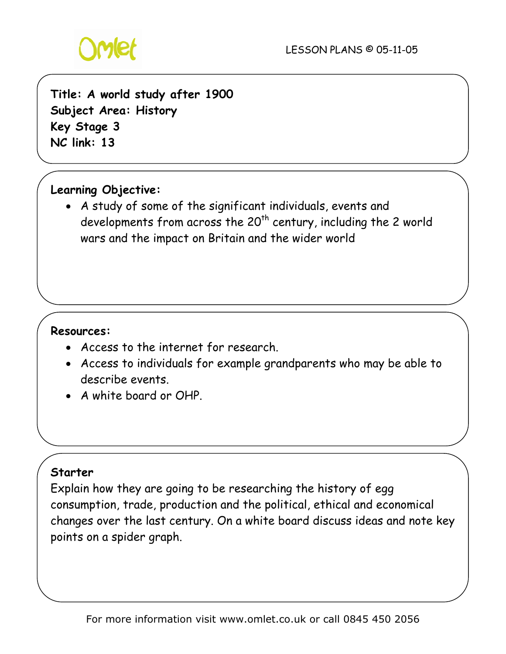

# **Title: A world study after 1900 Subject Area: History Key Stage 3 NC link: 13**

# **Learning Objective:**

• A study of some of the significant individuals, events and developments from across the  $20^{th}$  century, including the 2 world wars and the impact on Britain and the wider world

#### **Resources:**

- Access to the internet for research.
- Access to individuals for example grandparents who may be able to describe events.
- A white board or OHP.

## **Starter**

Explain how they are going to be researching the history of egg consumption, trade, production and the political, ethical and economical changes over the last century. On a white board discuss ideas and note key points on a spider graph.